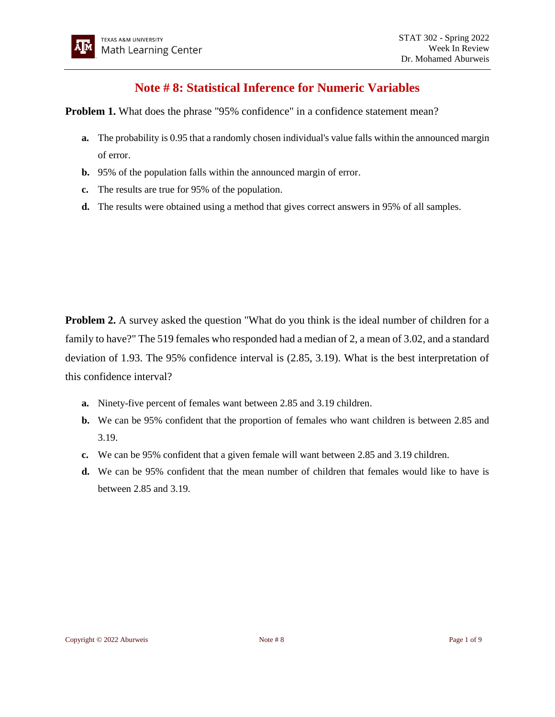## **Note # 8: Statistical Inference for Numeric Variables**

**Problem 1.** What does the phrase "95% confidence" in a confidence statement mean?

- **a.** The probability is 0.95 that a randomly chosen individual's value falls within the announced margin of error.
- **b.** 95% of the population falls within the announced margin of error.
- **c.** The results are true for 95% of the population.
- **d.** The results were obtained using a method that gives correct answers in 95% of all samples.

**Problem 2.** A survey asked the question "What do you think is the ideal number of children for a family to have?" The 519 females who responded had a median of 2, a mean of 3.02, and a standard deviation of 1.93. The 95% confidence interval is (2.85, 3.19). What is the best interpretation of this confidence interval?

- **a.** Ninety-five percent of females want between 2.85 and 3.19 children.
- **b.** We can be 95% confident that the proportion of females who want children is between 2.85 and 3.19.
- **c.** We can be 95% confident that a given female will want between 2.85 and 3.19 children.
- **d.** We can be 95% confident that the mean number of children that females would like to have is between 2.85 and 3.19.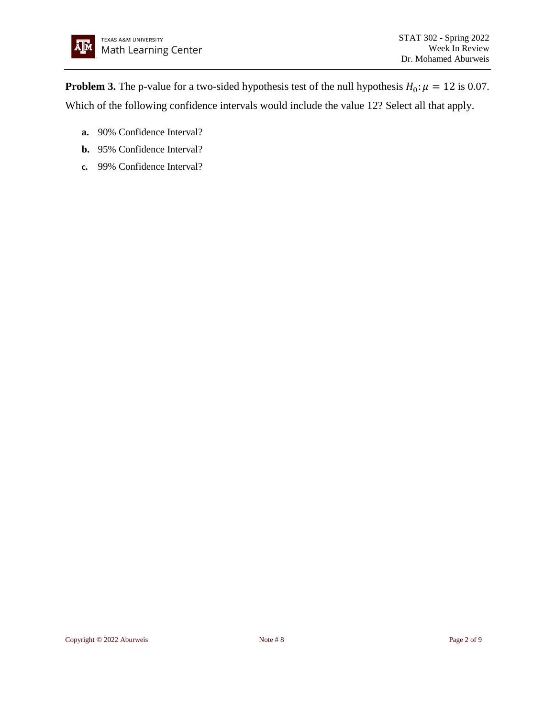**Problem 3.** The p-value for a two-sided hypothesis test of the null hypothesis  $H_0: \mu = 12$  is 0.07. Which of the following confidence intervals would include the value 12? Select all that apply.

- **a.** 90% Confidence Interval?
- **b.** 95% Confidence Interval?
- **c.** 99% Confidence Interval?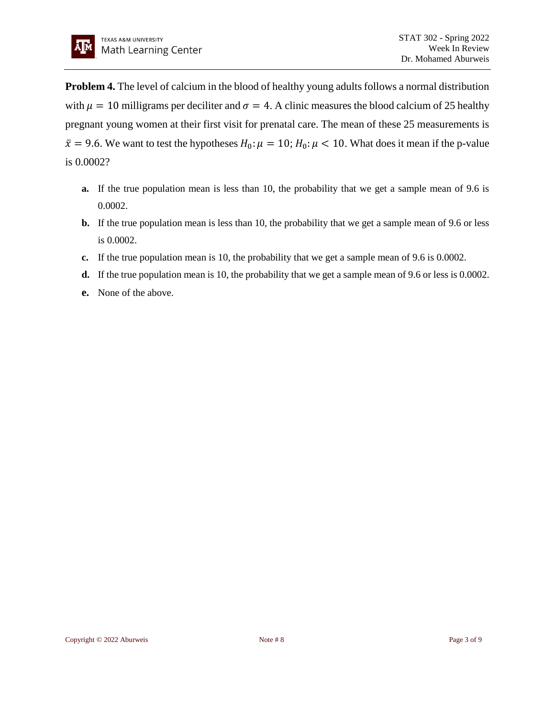**Problem 4.** The level of calcium in the blood of healthy young adults follows a normal distribution with  $\mu = 10$  milligrams per deciliter and  $\sigma = 4$ . A clinic measures the blood calcium of 25 healthy pregnant young women at their first visit for prenatal care. The mean of these 25 measurements is  $\bar{x}$  = 9.6. We want to test the hypotheses  $H_0: \mu = 10$ ;  $H_0: \mu < 10$ . What does it mean if the p-value is 0.0002?

- **a.** If the true population mean is less than 10, the probability that we get a sample mean of 9.6 is 0.0002.
- **b.** If the true population mean is less than 10, the probability that we get a sample mean of 9.6 or less is 0.0002.
- **c.** If the true population mean is 10, the probability that we get a sample mean of 9.6 is 0.0002.
- **d.** If the true population mean is 10, the probability that we get a sample mean of 9.6 or less is 0.0002.
- **e.** None of the above.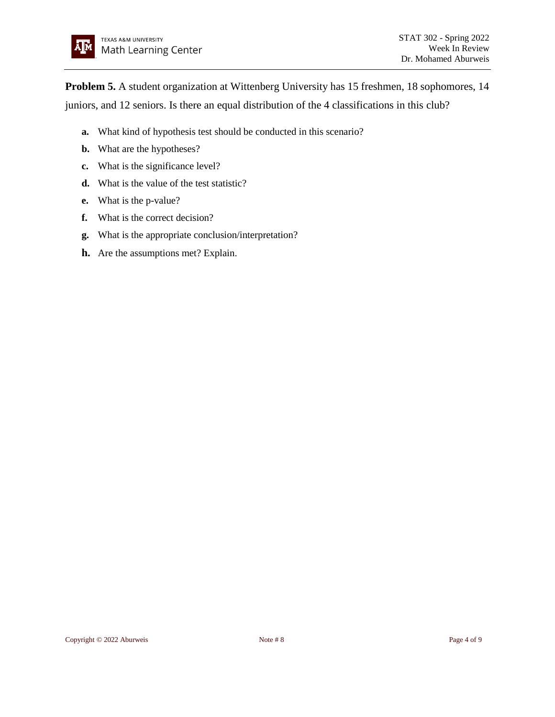**Problem 5.** A student organization at Wittenberg University has 15 freshmen, 18 sophomores, 14 juniors, and 12 seniors. Is there an equal distribution of the 4 classifications in this club?

- **a.** What kind of hypothesis test should be conducted in this scenario?
- **b.** What are the hypotheses?
- **c.** What is the significance level?
- **d.** What is the value of the test statistic?
- **e.** What is the p-value?
- **f.** What is the correct decision?
- **g.** What is the appropriate conclusion/interpretation?
- **h.** Are the assumptions met? Explain.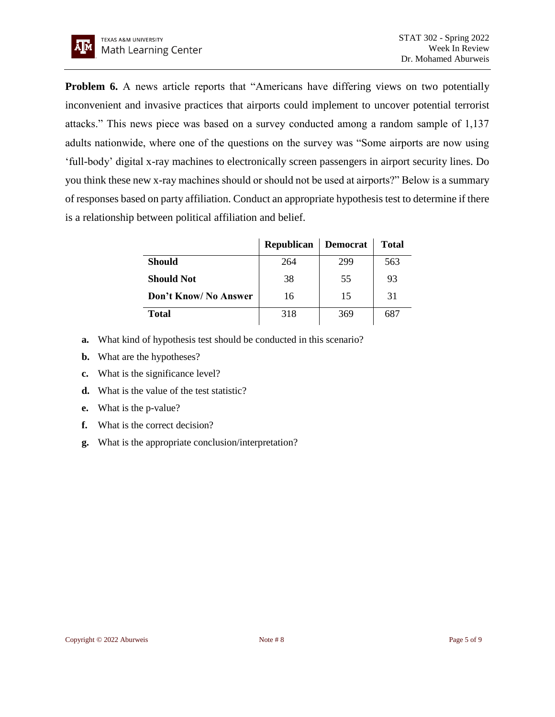**Problem 6.** A news article reports that "Americans have differing views on two potentially inconvenient and invasive practices that airports could implement to uncover potential terrorist attacks." This news piece was based on a survey conducted among a random sample of 1,137 adults nationwide, where one of the questions on the survey was "Some airports are now using 'full-body' digital x-ray machines to electronically screen passengers in airport security lines. Do you think these new x-ray machines should or should not be used at airports?" Below is a summary of responses based on party affiliation. Conduct an appropriate hypothesis test to determine if there is a relationship between political affiliation and belief.

|                       | <b>Republican</b> | <b>Democrat</b> | <b>Total</b> |
|-----------------------|-------------------|-----------------|--------------|
| <b>Should</b>         | 264               | 299             | 563          |
| <b>Should Not</b>     | 38                | 55              | 93           |
| Don't Know/ No Answer | 16                | 15              | 31           |
| <b>Total</b>          | 318               | 369             | 687          |

- **a.** What kind of hypothesis test should be conducted in this scenario?
- **b.** What are the hypotheses?
- **c.** What is the significance level?
- **d.** What is the value of the test statistic?
- **e.** What is the p-value?
- **f.** What is the correct decision?
- **g.** What is the appropriate conclusion/interpretation?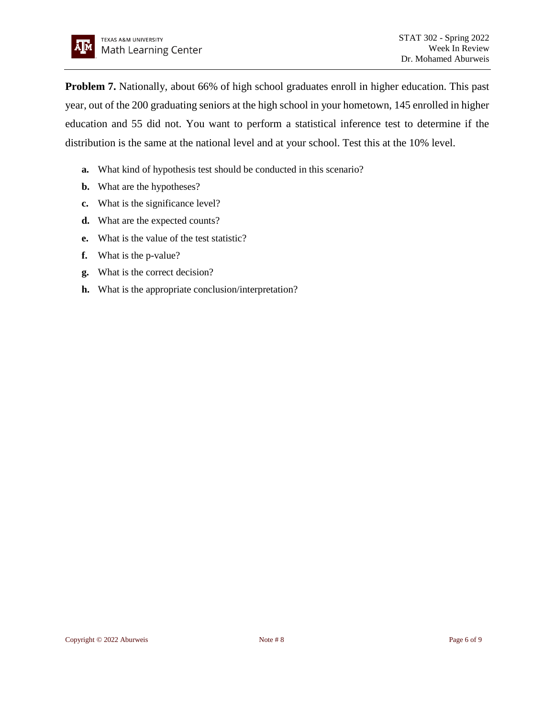**Problem 7.** Nationally, about 66% of high school graduates enroll in higher education. This past year, out of the 200 graduating seniors at the high school in your hometown, 145 enrolled in higher education and 55 did not. You want to perform a statistical inference test to determine if the distribution is the same at the national level and at your school. Test this at the 10% level.

- **a.** What kind of hypothesis test should be conducted in this scenario?
- **b.** What are the hypotheses?
- **c.** What is the significance level?
- **d.** What are the expected counts?
- **e.** What is the value of the test statistic?
- **f.** What is the p-value?
- **g.** What is the correct decision?
- **h.** What is the appropriate conclusion/interpretation?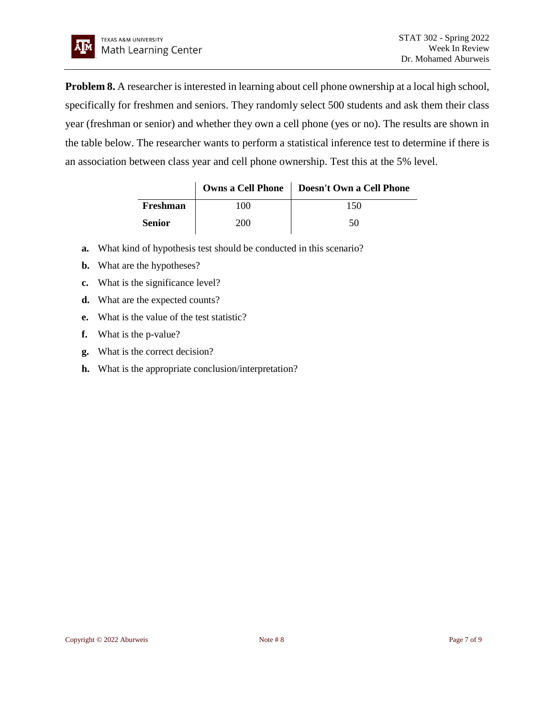**Problem 8.** A researcher is interested in learning about cell phone ownership at a local high school, specifically for freshmen and seniors. They randomly select 500 students and ask them their class year (freshman or senior) and whether they own a cell phone (yes or no). The results are shown in the table below. The researcher wants to perform a statistical inference test to determine if there is an association between class year and cell phone ownership. Test this at the 5% level.

|               |      | Owns a Cell Phone   Doesn't Own a Cell Phone |
|---------------|------|----------------------------------------------|
| Freshman      | 00   | 150                                          |
| <b>Senior</b> | 200. | 50                                           |

- **a.** What kind of hypothesis test should be conducted in this scenario?
- **b.** What are the hypotheses?
- **c.** What is the significance level?
- **d.** What are the expected counts?
- **e.** What is the value of the test statistic?
- **f.** What is the p-value?
- **g.** What is the correct decision?
- **h.** What is the appropriate conclusion/interpretation?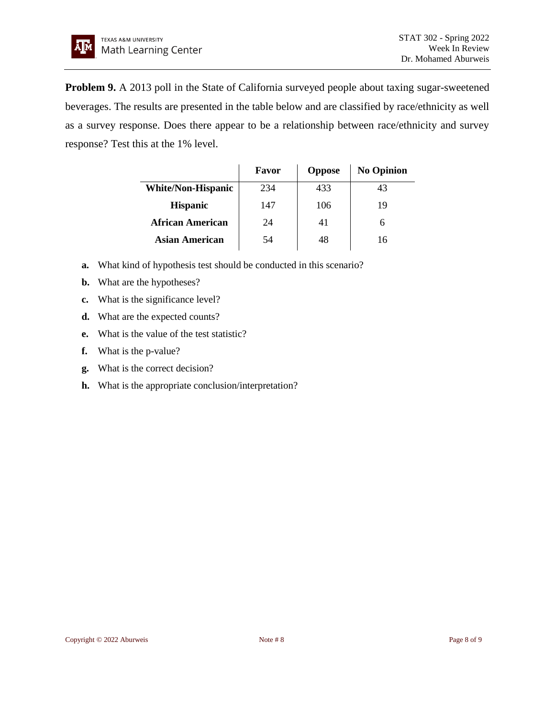**Problem 9.** A 2013 poll in the State of California surveyed people about taxing sugar-sweetened beverages. The results are presented in the table below and are classified by race/ethnicity as well as a survey response. Does there appear to be a relationship between race/ethnicity and survey response? Test this at the 1% level.

|                           | Favor | <b>Oppose</b> | <b>No Opinion</b> |
|---------------------------|-------|---------------|-------------------|
| <b>White/Non-Hispanic</b> | 234   | 433           | 43                |
| <b>Hispanic</b>           | 147   | 106           | 19                |
| <b>African American</b>   | 24    | 41            | 6                 |
| Asian American            | 54    | 48            | 16                |

- **a.** What kind of hypothesis test should be conducted in this scenario?
- **b.** What are the hypotheses?
- **c.** What is the significance level?
- **d.** What are the expected counts?
- **e.** What is the value of the test statistic?
- **f.** What is the p-value?
- **g.** What is the correct decision?
- **h.** What is the appropriate conclusion/interpretation?